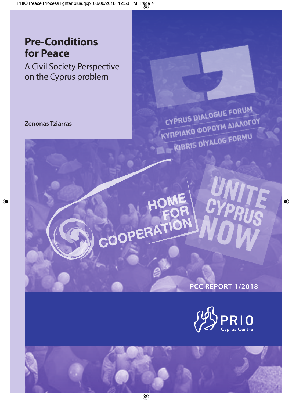### **Pre-Conditions for Peace**

A Civil Society Perspective on the Cyprus problem

**Zenonas Tziarras**

CYPRUS DIALOGUE FORUM **CYPRUS DIALUGUE<br>KYTIPIAKO @OPOYM AIAAOFOY TRIAKO WON LOG FORMU** 

COOPERATION

**PCC REPORT 1/2018**

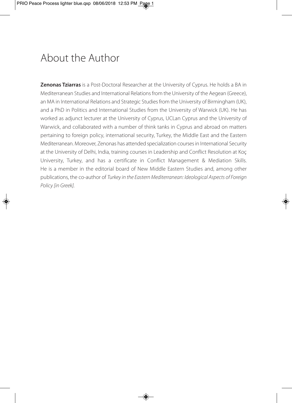### About the Author

**Zenonas Tziarras** is a Post-Doctoral Researcher at the University of Cyprus. He holds a BA in Mediterranean Studies and International Relations from the University of the Aegean (Greece), an MA in International Relations and Strategic Studies from the University of Birmingham (UK), and a PhD in Politics and International Studies from the University of Warwick (UK). He has worked as adjunct lecturer at the University of Cyprus, UCLan Cyprus and the University of Warwick, and collaborated with a number of think tanks in Cyprus and abroad on matters pertaining to foreign policy, international security, Turkey, the Middle East and the Eastern Mediterranean. Moreover, Zenonas has attended specialization courses in International Security at the University of Delhi, India, training courses in Leadership and Conflict Resolution at Koç University, Turkey, and has a certificate in Conflict Management & Mediation Skills. He is a member in the editorial board of New Middle Eastern Studies and, among other publications, the co-author of *Turkey in the Eastern Mediterranean: Ideological Aspects of Foreign Policy [in Greek].*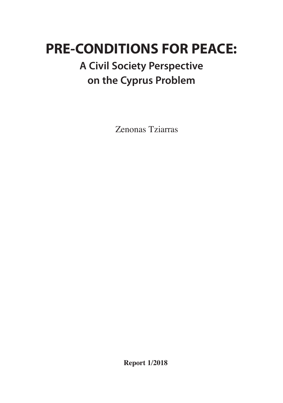# **PRE-CONDITIONS FOR PEACE:**

### **A Civil Society Perspective on the Cyprus Problem**

Zenonas Tziarras

**Report 1/2018**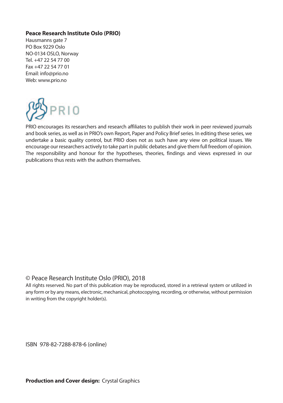#### **Peace Research Institute Oslo (PRIO)**

Hausmanns gate 7 PO Box 9229 Oslo NO-0134 OSLO, Norway Tel. +47 22 54 77 00 Fax +47 22 54 77 01 Email: info@prio.no Web: www.prio.no



PRIO encourages its researchers and research affiliates to publish their work in peer reviewed journals and book series, as well as in PRIO's own Report, Paper and Policy Brief series. In editing these series, we undertake a basic quality control, but PRIO does not as such have any view on political issues. We encourage our researchers actively to take partin public debates and give them full freedom of opinion. The responsibility and honour for the hypotheses, theories, findings and views expressed in our publications thus rests with the authors themselves.

#### © Peace Research Institute Oslo (PRIO), 2018

All rights reserved. No part of this publication may be reproduced, stored in a retrieval system or utilized in any form or by any means, electronic, mechanical, photocopying, recording, or otherwise, without permission in writing from the copyright holder(s).

ISBN 978-82-7288-878-6 (online)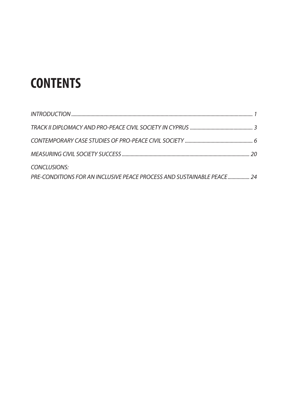# **CONTENTS**

| CONCLUSIONS:                                                           |  |
|------------------------------------------------------------------------|--|
| PRE-CONDITIONS FOR AN INCLUSIVE PEACE PROCESS AND SUSTAINABLE PEACE 24 |  |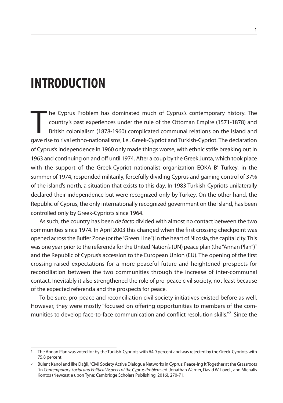### **INTRODUCTION**

The Cyprus Problem has dominated much of Cyprus's contemporary history. The country's past experiences under the rule of the Ottoman Empire (1571-1878) and British colonialism (1878-1960) complicated communal relations on he Cyprus Problem has dominated much of Cyprus's contemporary history. The country's past experiences under the rule of the Ottoman Empire (1571-1878) and British colonialism (1878-1960) complicated communal relations on the Island and of Cyprus'sindependence in 1960 only made things worse, with ethnic strife breaking out in 1963 and continuing on and off until 1974. After a coup by the Greek Junta, which took place with the support of the Greek-Cypriot nationalist organization EOKA B', Turkey, in the summer of 1974, responded militarily, forcefully dividing Cyprus and gaining control of 37% of the island's north, a situation that exists to this day. In 1983 Turkish-Cypriots unilaterally declared their independence but were recognized only by Turkey. On the other hand, the Republic of Cyprus, the only internationally recognized government on the Island, has been controlled only by Greek-Cypriots since 1964.

As such, the country has been *de facto* divided with almost no contact between the two communities since 1974. In April 2003 this changed when the first crossing checkpoint was opened across the Buffer Zone (or the "Green Line") in the heart of Nicosia, the capital city. This was one year prior to the referenda for the United Nation's (UN) peace plan (the "Annan Plan") $^1$ and the Republic of Cyprus's accession to the European Union (EU). The opening of the first crossing raised expectations for a more peaceful future and heightened prospects for reconciliation between the two communities through the increase of inter-communal contact. Inevitably it also strengthened the role of pro-peace civil society, not least because of the expected referenda and the prospects for peace.

To be sure, pro-peace and reconciliation civil society initiatives existed before as well. However, they were mostly "focused on offering opportunities to members of the communities to develop face-to-face communication and conflict resolution skills."<sup>2</sup> Since the

<sup>1</sup> The Annan Plan was voted for by the Turkish-Cypriots with 64.9 percent and wasrejected by the Greek-Cypriots with 75.8 percent.

<sup>2</sup> Bülent Kanol and İlke Dağli,"Civil Society Active Dialogue Networksin Cyprus: Peace-Ing It Together at the Grassroots "in *Contemporary Social and Political Aspects of the Cyprus Problem*, ed. Jonathan Warner, David W. Lovell, and Michalis Kontos (Newcastle upon Tyne: Cambridge Scholars Publishing, 2016), 270-71.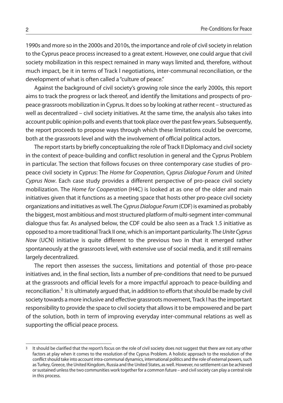1990s and more so in the 2000s and 2010s, the importance and role of civil society in relation to the Cyprus peace processincreased to a great extent. However, one could argue that civil society mobilization in this respect remained in many ways limited and, therefore, without much impact, be it in terms of Track l negotiations, inter-communal reconciliation, or the development of what is often called a"culture of peace."

Against the background of civil society's growing role since the early 2000s, this report aims to track the progress or lack thereof, and identify the limitations and prospects of propeace grassroots mobilization in Cyprus. It doesso by looking at rather recent – structured as well as decentralized – civil society initiatives. At the same time, the analysis also takes into account public opinion polls and events that took place over the past few years. Subsequently, the report proceeds to propose ways through which these limitations could be overcome, both at the grassroots level and with the involvement of official political actors.

The report starts by briefly conceptualizing the role of Track II Diplomacy and civil society in the context of peace-building and conflict resolution in general and the Cyprus Problem in particular. The section that follows focuses on three contemporary case studies of propeace civil society in Cyprus: The *Home for Cooperation*, *Cyprus Dialogue Forum* and *United Cyprus Now*. Each case study provides a different perspective of pro-peace civil society mobilization. The *Home for Cooperation* (H4C) is looked at as one of the older and main initiatives given that it functions as a meeting space that hosts other pro-peace civil society organizations and initiatives as well.The *CyprusDialogue Forum* (CDF)is examined as probably the biggest, most ambitious and most structured platform of multi-segment inter-communal dialogue thus far. As analysed below, the CDF could be also seen as a Track 1.5 initiative as opposed to a more traditionalTrack II one, which is an important particularity.The *UniteCyprus Now* (UCN) initiative is quite different to the previous two in that it emerged rather spontaneously at the grassroots level, with extensive use of social media, and it still remains largely decentralized.

The report then assesses the success, limitations and potential of those pro-peace initiatives and, in the final section, lists a number of pre-conditions that need to be pursued at the grassroots and official levels for a more impactful approach to peace-building and reconciliation.<sup>3</sup> It is ultimately argued that, in addition to efforts that should be made by civil society towards a more inclusive and effective grassroots movement, Track I has the important responsibility to provide the space to civil society that allows it to be empowered and be part of the solution, both in term of improving everyday inter-communal relations as well as supporting the official peace process.

<sup>3</sup> It should be clarified that the report's focus on the role of civil society does not suggest that there are not any other factors at play when it comes to the resolution of the Cyprus Problem. A holistic approach to the resolution of the conflict should take into account intra-communal dynamics, international politics and the role of external powers, such as Turkey, Greece, the United Kingdom, Russia and the United States, as well. However, no settlement can be achieved or sustained unless the two communities work together for a common future – and civil society can play a central role in this process.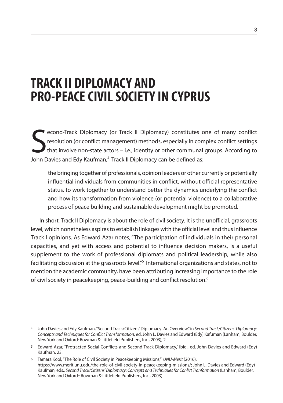## **TRACK II DIPLOMACY AND PRO-PEACECIVILSOCIETY IN CYPRUS**

Second-Track Diplomacy (or Track II Diplomacy) constitutes are resolution (or conflict management) methods, especially in conthat involve non-state actors – i.e., identity or other communal John Davies and Edy Kaufman,<sup>4</sup> econd-Track Diplomacy (or Track II Diplomacy) constitutes one of many conflict resolution (or conflict management) methods, especially in complex conflict settings that involve non-state actors – i.e., identity or other communal groups. According to

the bringing together of professionals, opinion leaders or other currently or potentially influential individuals from communities in conflict, without official representative status, to work together to understand better the dynamics underlying the conflict and how its transformation from violence (or potential violence) to a collaborative process of peace building and sustainable development might be promoted.

In short, Track II Diplomacy is about the role of civil society. It is the unofficial, grassroots level, which nonetheless aspires to establish linkages with the official level and thus influence Track I opinions. As Edward Azar notes, "The participation of individuals in their personal capacities, and yet with access and potential to influence decision makers, is a useful supplement to the work of professional diplomats and political leadership, while also facilitating discussion at the grassroots level."<sup>5</sup> International organizations and states, not to mention the academic community, have been attributing increasing importance to the role of civil society in peacekeeping, peace-building and conflict resolution. $^6$ 

<sup>4</sup> John Davies and Edy Kaufman,"Second Track/Citizens'Diplomacy: An Overview,"in *Second Track/Citizens' Diplomacy: Concepts and Techniquesfor Conflict Transformation*, ed. John L. Davies and Edward (Edy) Kafuman (Lanham, Boulder, New York and Oxford: Rowman & Littlefield Publishers, Inc., 2003), 2.

<sup>5</sup> Edward Azar, "Protracted Social Conflicts and Second Track Diplomacy," ibid., ed. John Davies and Edward (Edy) Kaufman, 23.

<sup>6</sup> Tamara Kool,"The Role of Civil Society in Peacekeeping Missions," *UNU-Merit* (2016), https://www.merit.unu.edu/the-role-of-civil-society-in-peacekeeping-missions/; John L. Davies and Edward (Edy) Kaufman, eds., *Second Track/Citizens' Diplomacy: Concepts and Techniquesfor Conlict Tranformation* (Lanham, Boulder, New York and Oxford:: Rowman & Littlefield Publishers, Inc., 2003).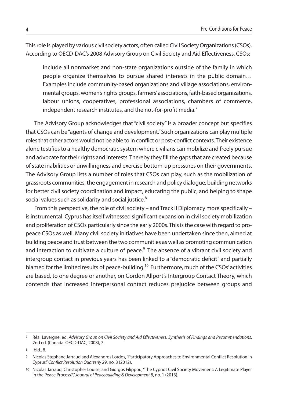This role is played by various civil society actors, often called Civil Society Organizations (CSOs). According to OECD-DAC's 2008 Advisory Group on Civil Society and Aid Effectiveness, CSOs:

include all nonmarket and non-state organizations outside of the family in which people organize themselves to pursue shared interests in the public domain… Examples include community-based organizations and village associations, environmental groups, women's rights groups, farmers' associations, faith-based organizations, labour unions, cooperatives, professional associations, chambers of commerce, independent research institutes, and the not-for-profit media.<sup>7</sup>

The Advisory Group acknowledges that "civil society" is a broader concept but specifies that CSOs can be"agents of change and development."Such organizations can play multiple rolesthat other actors would not be able to in conflict or post-conflict contexts.Their existence alone testifies to a healthy democratic system where civilians can mobilize and freely pursue and advocate for their rights and interests. Thereby they fill the gaps that are created because of state inabilities or unwillingness and exercise bottom-up pressures on their governments. The Advisory Group lists a number of roles that CSOs can play, such as the mobilization of grassroots communities, the engagement in research and policy dialogue, building networks for better civil society coordination and impact, educating the public, and helping to shape social values such as solidarity and social justice.<sup>8</sup>

From this perspective, the role of civil society – and Track II Diplomacy more specifically – is instrumental. Cyprus has itself witnessed significant expansion in civil society mobilization and proliferation of CSOs particularly since the early 2000s. This is the case with regard to propeace CSOs as well. Many civil society initiatives have been undertaken since then, aimed at building peace and trust between the two communities as well as promoting communication and interaction to cultivate a culture of peace. <sup>9</sup> The absence of a vibrant civil society and intergroup contact in previous years has been linked to a "democratic deficit" and partially blamed for the limited results of peace-building.<sup>10</sup> Furthermore, much of the CSOs' activities are based, to one degree or another, on Gordon Allport's Intergroup Contact Theory, which contends that increased interpersonal contact reduces prejudice between groups and

<sup>7</sup> Réal Lavergne, ed. *Advisory Group on Civil Society and Aid Effectiveness: Synthesis of Findings and Recommendations*, 2nd ed. (Canada: OECD-DAC, 2008), 7.

<sup>8</sup> Ibid., 8.

<sup>9</sup> Nicolas Stephane Jarraud and Alexandros Lordos,"Participatory Approachesto Environmental Conflict Resolution in Cyprus,"*Conflict Resolution Quarterly* 29, no. 3 (2012).

<sup>10</sup> Nicolas Jarraud, Christopher Louise, and Giorgos Filippou,"The Cypriot Civil Society Movement: A Legitimate Player in the Peace Process?,"*Jounral of Peacebuilding & Development* 8, no. 1 (2013).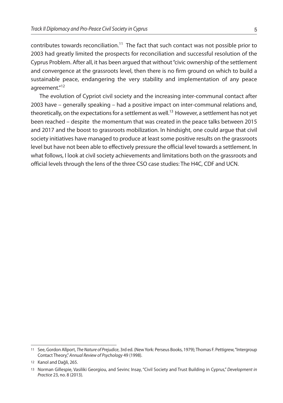contributes towards reconciliation.<sup>11</sup> The fact that such contact was not possible prior to 2003 had greatly limited the prospects for reconciliation and successful resolution of the Cyprus Problem. After all, it has been argued that without"civic ownership of the settlement and convergence at the grassroots level, then there is no firm ground on which to build a sustainable peace, endangering the very stability and implementation of any peace agreement."<sup>12</sup>

The evolution of Cypriot civil society and the increasing inter-communal contact after 2003 have – generally speaking – had a positive impact on inter-communal relations and, theoretically, on the expectations for a settlement as well.<sup>13</sup> However, a settlement has not yet been reached – despite the momentum that was created in the peace talks between 2015 and 2017 and the boost to grassroots mobilization. In hindsight, one could argue that civil society initiatives have managed to produce at least some positive results on the grassroots level but have not been able to effectively pressure the official level towards a settlement. In what follows, I look at civil society achievements and limitations both on the grassroots and official levels through the lens of the three CSO case studies: The H4C, CDF and UCN.

<sup>11</sup> See, Gordon Allport, *TheNature of Prejudice*, 3rd ed. (NewYork: Perseus Books, 1979); Thomas F. Pettigrew,"Intergroup Contact Theory,"*Annual Review of Psychology* 49 (1998).

<sup>12</sup> Kanol and Dağli, 265.

<sup>13</sup> Norman Gillespie, Vasiliki Georgiou, and Sevinc Insay, "Civil Society and Trust Building in Cyprus," *Development in Practice* 23, no. 8 (2013).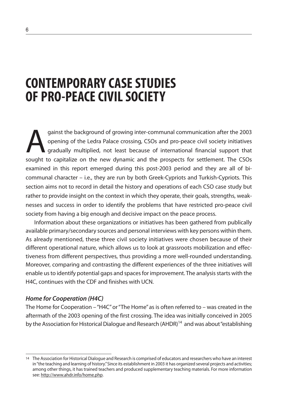### **CONTEMPORARY CASESTUDIES OF PRO-PEACECIVILSOCIETY**

gainst the background of growing inter-communal communication after the 2003<br>opening of the Ledra Palace crossing, CSOs and pro-peace civil society initiatives<br>gradually multiplied, not least because of international finan opening of the Ledra Palace crossing, CSOs and pro-peace civil society initiatives gradually multiplied, not least because of international financial support that sought to capitalize on the new dynamic and the prospects for settlement. The CSOs examined in this report emerged during this post-2003 period and they are all of bicommunal character – i.e., they are run by both Greek-Cypriots and Turkish-Cypriots. This section aims not to record in detail the history and operations of each CSO case study but rather to provide insight on the context in which they operate, their goals, strengths, weaknesses and success in order to identify the problems that have restricted pro-peace civil society from having a big enough and decisive impact on the peace process.

Information about these organizations or initiatives has been gathered from publically available primary/secondary sources and personal interviews with key persons within them. As already mentioned, these three civil society initiatives were chosen because of their different operational nature, which allows us to look at grassroots mobilization and effectiveness from different perspectives, thus providing a more well-rounded understanding. Moreover, comparing and contrasting the different experiences of the three initiatives will enable us to identify potential gaps and spaces for improvement. The analysis starts with the H4C, continues with the CDF and finishes with UCN.

#### *Home for Cooperation (H4C)*

The Home for Cooperation –"H4C"or"The Home"as is often referred to – was created in the aftermath of the 2003 opening of the first crossing. The idea was initially conceived in 2005 by the Association for Historical Dialogue and Research (AHDR)<sup>14</sup> and was about "establishing

<sup>14</sup> The Association for Historical Dialogue and Research is comprised of educators and researchers who have an interest in"the teaching and learning of history."Since its establishment in 2003 it has organized several projects and activities; among other things, it has trained teachers and produced supplementary teaching materials. For more information see: http://www.ahdr.info/home.php.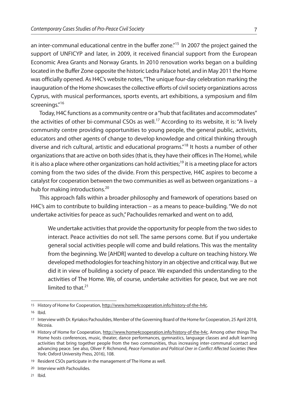an inter-communal educational centre in the buffer zone."<sup>15</sup> In 2007 the project gained the support of UNFICYP and later, in 2009, it received financial support from the European Economic Area Grants and Norway Grants. In 2010 renovation works began on a building located in the Buffer Zone opposite the historic Ledra Palace hotel, and in May 2011 the Home was officially opened. As H4C's website notes,"The unique four-day celebration marking the inauguration of the Home showcases the collective efforts of civil society organizations across Cyprus, with musical performances, sports events, art exhibitions, a symposium and film screenings."<sup>16</sup>

Today, H4C functions as a community centre or a "hub that facilitates and accommodates" the activities of other bi-communal CSOs as well.<sup>17</sup> According to its website, it is: "A lively community centre providing opportunities to young people, the general public, activists, educators and other agents of change to develop knowledge and critical thinking through diverse and rich cultural, artistic and educational programs." <sup>18</sup> It hosts a number of other organizations that are active on both sides (that is, they have their offices in The Home), while it is also a place where other organizations can hold activities;<sup>19</sup> it is a meeting place for actors coming from the two sides of the divide. From this perspective, H4C aspires to become a catalyst for cooperation between the two communities as well as between organizations – a hub for making introductions.<sup>20</sup>

This approach falls within a broader philosophy and framework of operations based on H4C's aim to contribute to building interaction – as a means to peace-building."We do not undertake activities for peace as such,"Pachoulides remarked and went on to add,

We undertake activities that provide the opportunity for people from the two sides to interact. Peace activities do not sell. The same persons come. But if you undertake general social activities people will come and build relations. This was the mentality from the beginning. We [AHDR] wanted to develop a culture on teaching history. We developed methodologies for teaching history in an objective and critical way. But we did it in view of building a society of peace. We expanded this understanding to the activities of The Home. We, of course, undertake activities for peace, but we are not limited to that. 21

<sup>15</sup> History of Home for Cooperation, http://www.home4cooperation.info/history-of-the-h4c.

<sup>16</sup> Ibid.

<sup>17</sup> Interview with Dr. Kyriakos Pachoulides, Member of the Governing Board of the Home for Cooperation, 25 April 2018, Nicosia.

<sup>18</sup> History of Home for Cooperation, http://www.home4cooperation.info/history-of-the-h4c. Among other things The Home hosts conferences, music, theater, dance performances, gymnastics, language classes and adult learning activities that bring together people from the two communities, thus increasing inter-communal contact and advancing peace. See also, Oliver P. Richmond, *Peace Formation and Political Orer in Conflict Affected Societies* (New York: Oxford University Press, 2016), 108.

<sup>19</sup> Resident CSOs participate in the management of The Home as well.

<sup>20</sup> Interview with Pachoulides.

<sup>21</sup> Ibid.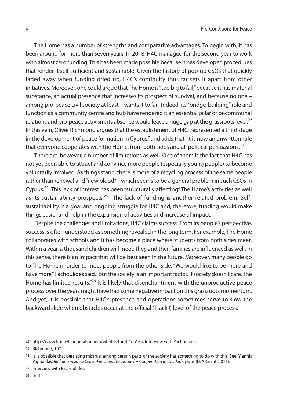The Home has a number of strengths and comparative advantages. To begin with, it has been around for more than seven years. In 2018, H4C managed for the second year to work with almost zero funding. This has been made possible because it has developed procedures that render it self-sufficient and sustainable. Given the history of pop-up CSOs that quickly faded away when funding dried up, H4C's continuity thus far sets it apart from other initiatives. Moreover, one could argue that The Home is "too big to fail," because it has material substance, an actual presence that increases its prospect of survival, and because no one – among pro-peace civil society at least – wants it to fail. Indeed, its "bridge-building" role and function as a community centre and hub have rendered it an essential pillar of bi-communal relations and pro-peace activism; its absence would leave a huge gap at the grassroots level. $^{22}$ In this vein, Oliver Richmond argues that the establishment of H4C "represented a third stage in the development of peace formation in Cyprus,"and addsthat"it is now an unwritten rule that everyone cooperates with the Home, from both sides and all political persuasions.<sup>23</sup>

There are, however, a number of limitations as well. One of them is the fact that H4C has not yet been able to attract and convince more people (especially young people) to become voluntarily involved. As things stand, there is more of a recycling process of the same people rather than renewal and "new blood" – which seems to be a general problem in such CSOs in Cyprus.<sup>24</sup> This lack of interest has been "structurally affecting" The Home's activities as well as its sustainability prospects.<sup>25</sup> The lack of funding is another related problem. Selfsustainability is a goal and ongoing struggle for H4C and, therefore, funding would make things easier and help in the expansion of activities and increase of impact.

Despite the challenges and limitations, H4C claims success. From its people's perspective, success is often understood as something revealed in the long term. For example, The Home collaborates with schools and it has become a place where students from both sides meet. Within a year, a thousand children will meet; they and their families are influenced as well. In this sense, there is an impact that will be best seen in the future. Moreover, many people go to The Home in order to meet people from the other side."We would like to be more and have more," Pachoulides said, "but the society is an important factor. If society doesn't care, The Home has limited results."<sup>26</sup> It is likely that disenchantment with the unproductive peace process over the years might have had some negative impact on this grassroots momentum. And yet, it is possible that H4C's presence and operations sometimes serve to slow the backward slide when obstacles occur at the official (Track I) level of the peace process.

<sup>22</sup> http://www.home4cooperation.info/what-is-the-h4c. Also, Interview with Pachoulides.

<sup>23</sup> Richmond, 107.

<sup>24</sup> It is possible that persisting mistrust among certain parts of the society has something to do with this. See, Yiannis Papadakis, *Building inside a Cease-Fire Line: The Home for Cooperation in Divided Cyprus* (EEA-Grants2011).

<sup>25</sup> Interview with Pachoulides.

<sup>26</sup> Ibid.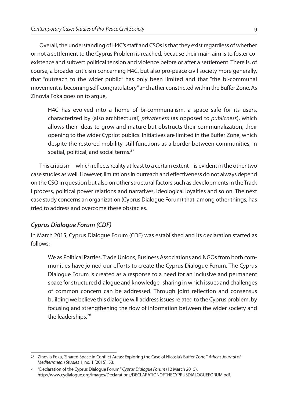Overall, the understanding of H4C's staff and CSOs is that they exist regardless of whether or not a settlement to the Cyprus Problem isreached, because their main aim isto foster coexistence and subvert political tension and violence before or after a settlement. There is, of course, a broader criticism concerning H4C, but also pro-peace civil society more generally, that "outreach to the wider public" has only been limited and that "the bi-communal movementis becoming self-congratulatory"and rather constricted within the Buffer Zone. As Zinovia Foka goes on to argue,

H4C has evolved into a home of bi-communalism, a space safe for its users, characterized by (also architectural) *privateness* (as opposed to *publicness*), which allows their ideas to grow and mature but obstructs their communalization, their opening to the wider Cypriot publics. Initiatives are limited in the Buffer Zone, which despite the restored mobility, still functions as a border between communities, in spatial, political, and social terms.<sup>27</sup>

This criticism – which reflects reality at least to a certain extent – is evident in the other two case studies as well. However, limitations in outreach and effectiveness do not always depend on the CSO in question but also on other structural factors such as developments in the Track I process, political power relations and narratives, ideological loyalties and so on. The next case study concerns an organization (Cyprus Dialogue Forum) that, among other things, has tried to address and overcome these obstacles.

#### *Cyprus Dialogue Forum (CDF)*

In March 2015, Cyprus Dialogue Forum (CDF) was established and its declaration started as follows:

We as Political Parties, Trade Unions, Business Associations and NGOsfrom both communities have joined our efforts to create the Cyprus Dialogue Forum. The Cyprus Dialogue Forum is created as a response to a need for an inclusive and permanent space for structured dialogue and knowledge-sharing in which issues and challenges of common concern can be addressed. Through joint reflection and consensus building we believe this dialogue will address issues related to the Cyprus problem, by focusing and strengthening the flow of information between the wider society and the leaderships.<sup>28</sup>

<sup>27</sup> Zinovia Foka,"Shared Space in Conflict Areas: Exploring the Case of Nicosia's Buffer Zone " *AthensJournal of Mediterranean Studies* 1, no. 1 (2015): 53.

<sup>28</sup> "Declaration of the Cyprus Dialogue Forum,"*Cyprus Dialogue Forum* (12 March 2015), http://www.cydialogue.org/images/Declarations/DECLARATIONOFTHECYPRUSDIALOGUEFORUM.pdf.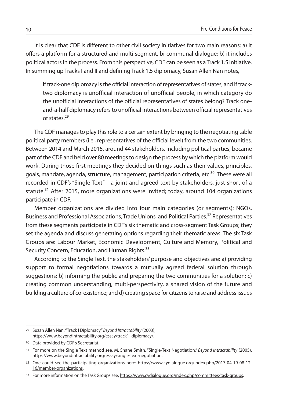It is clear that CDF is different to other civil society initiatives for two main reasons: a) it offers a platform for a structured and multi-segment, bi-communal dialogue; b) it includes political actors in the process. From this perspective, CDF can be seen as a Track 1.5 initiative. In summing up Tracks I and II and defining Track 1.5 diplomacy, Susan Allen Nan notes,

If track-one diplomacy is the official interaction of representatives of states, and if tracktwo diplomacy is unofficial interaction of unofficial people, in which category do the unofficial interactions of the official representatives of states belong? Track oneand-a-half diplomacy refersto unofficial interactions between official representatives of states. 29

The CDF managesto play thisrole to a certain extent by bringing to the negotiating table political party members (i.e., representatives of the official level) from the two communities. Between 2014 and March 2015, around 44 stakeholders, including political parties, became part of the CDF and held over 80 meetings to design the process by which the platform would work. During those first meetings they decided on things such as their values, principles, goals, mandate, agenda, structure, management, participation criteria, etc.<sup>30</sup> These were all recorded in CDF's "Single Text" – a joint and agreed text by stakeholders, just short of a statute.<sup>31</sup> After 2015, more organizations were invited; today, around 104 organizations participate in CDF.

Member organizations are divided into four main categories (or segments): NGOs, Business and Professional Associations, Trade Unions, and Political Parties.<sup>32</sup> Representatives from these segments participate in CDF's six thematic and cross-segment Task Groups; they set the agenda and discuss generating options regarding their thematic areas. The six Task Groups are: Labour Market, Economic Development, Culture and Memory, Political and Security Concern, Education, and Human Rights.<sup>33</sup>

According to the Single Text, the stakeholders' purpose and objectives are: a) providing support to formal negotiations towards a mutually agreed federal solution through suggestions; b) informing the public and preparing the two communities for a solution; c) creating common understanding, multi-perspectivity, a shared vision of the future and building a culture of co-existence; and d) creating space for citizens to raise and address issues

30 Data provided by CDF's Secretariat.

<sup>29</sup> Suzan Allen Nan,"Track I Diplomacy,"*Beyond Intractability* (2003), https://www.beyondintractability.org/essay/track1\_diplomacy/.

<sup>31</sup> For more on the Single Text method see, M. Shane Smith, "Single-Text Negotiation," *Beyond Intractability* (2005), https://www.beyondintractability.org/essay/single-text-negotiation.

<sup>32</sup> One could see the participating organizations here: https://www.cydialogue.org/index.php/2017-04-19-08-12-16/member-organizations.

<sup>33</sup> For more information on the Task Groups see, https://www.cydialogue.org/index.php/committees/task-groups.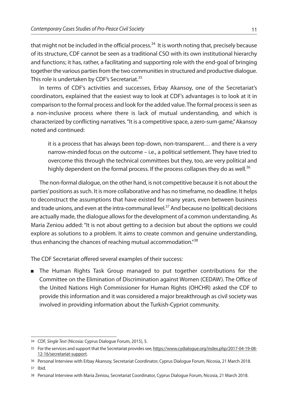that might not be included in the official process.<sup>34</sup> It is worth noting that, precisely because of its structure, CDF cannot be seen as a traditional CSO with its own institutional hierarchy and functions; it has, rather, a facilitating and supporting role with the end-goal of bringing together the various parties from the two communities in structured and productive dialogue. This role is undertaken by CDF's Secretariat. 35

In terms of CDF's activities and successes, Erbay Akansoy, one of the Secretariat's coordinators, explained that the easiest way to look at CDF's advantages is to look at it in comparison to the formal process and look for the added value. The formal process is seen as a non-inclusive process where there is lack of mutual understanding, and which is characterized by conflicting narratives."It is a competitive space, a zero-sum game,"Akansoy noted and continued:

it is a process that has always been top-down, non-transparent… and there is a very narrow-minded focus on the outcome – i.e., a political settlement. They have tried to overcome this through the technical committees but they, too, are very political and highly dependent on the formal process. If the process collapses they do as well.<sup>36</sup>

The non-formal dialogue, on the other hand, is not competitive because it is not about the parties'positions assuch. It is more collaborative and has no timeframe, no deadline. It helps to deconstruct the assumptions that have existed for many years, even between business and trade unions, and even at the intra-communal level.<sup>37</sup> And because no (political) decisions are actually made, the dialogue allows for the development of a common understanding. As Maria Zeniou added:"It is not about getting to a decision but about the options we could explore as solutions to a problem. It aims to create common and genuine understanding, thus enhancing the chances of reaching mutual accommodation."<sup>38</sup>

The CDF Secretariat offered several examples of their success:

<sup>n</sup> The Human Rights Task Group managed to put together contributions for the Committee on the Elimination of Discrimination against Women (CEDAW). The Office of the United Nations High Commissioner for Human Rights (OHCHR) asked the CDF to provide this information and it was considered a major breakthrough as civil society was involved in providing information about the Turkish-Cypriot community.

<sup>34</sup> CDF, *Single Text* (Nicosia: Cyprus Dialogue Forum, 2015), 5.

<sup>35</sup> For the services and support that the Secretariat provides see, https://www.cydialogue.org/index.php/2017-04-19-08-12-16/secretariat-support.

<sup>36</sup> Personal Interview with Erbay Akansoy, Secretariat Coordinator, Cyprus Dialogue Forum, Nicosia, 21 March 2018.

<sup>37</sup> Ibid.

<sup>38</sup> Personal Interview with Maria Zeniou, Secretariat Coordinator, Cyprus Dialogue Forum, Nicosia, 21 March 2018.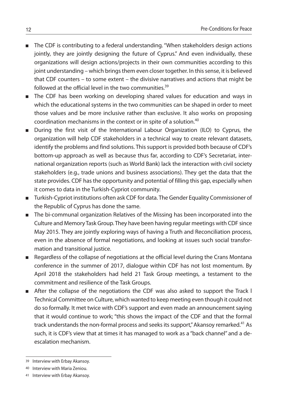- n The CDF is contributing to a federal understanding. "When stakeholders design actions jointly, they are jointly designing the future of Cyprus." And even individually, these organizations will design actions/projects in their own communities according to this joint understanding – which brings them even closer together. In this sense, it is believed that CDF counters – to some extent – the divisive narratives and actions that might be followed at the official level in the two communities. 39
- **n** The CDF has been working on developing shared values for education and ways in which the educational systems in the two communities can be shaped in order to meet those values and be more inclusive rather than exclusive. It also works on proposing coordination mechanisms in the context or in spite of a solution. 40
- <sup>n</sup> During the first visit of the International Labour Organization (ILO) to Cyprus, the organization will help CDF stakeholders in a technical way to create relevant datasets, identify the problems and find solutions. This support is provided both because of CDF's bottom-up approach as well as because thus far, according to CDF's Secretariat, international organization reports (such as World Bank) lack the interaction with civil society stakeholders (e.g., trade unions and business associations). They get the data that the state provides. CDF has the opportunity and potential of filling this gap, especially when it comes to data in the Turkish-Cypriot community.
- n Turkish-Cypriot institutions often ask CDF for data. The Gender Equality Commissioner of the Republic of Cyprus has done the same.
- n The bi-communal organization Relatives of the Missing has been incorporated into the Culture and Memory Task Group. They have been having regular meetings with CDF since May 2015. They are jointly exploring ways of having a Truth and Reconciliation process, even in the absence of formal negotiations, and looking at issues such social transformation and transitional justice.
- **n** Regardless of the collapse of negotiations at the official level during the Crans Montana conference in the summer of 2017, dialogue within CDF has not lost momentum. By April 2018 the stakeholders had held 21 Task Group meetings, a testament to the commitment and resilience of the Task Groups.
- <sup>n</sup> After the collapse of the negotiations the CDF was also asked to support the Track l Technical Committee on Culture, which wanted to keep meeting even though it could not do so formally. It met twice with CDF's support and even made an announcement saying that it would continue to work; "this shows the impact of the CDF and that the formal track understands the non-formal process and seeks its support," Akansoy remarked.<sup>41</sup> As such, it is CDF's view that at times it has managed to work as a "back channel" and a deescalation mechanism.

<sup>39</sup> Interview with Erbay Akansoy.

<sup>40</sup> Interview with Maria Zeniou.

<sup>41</sup> Interview with Erbay Akansoy.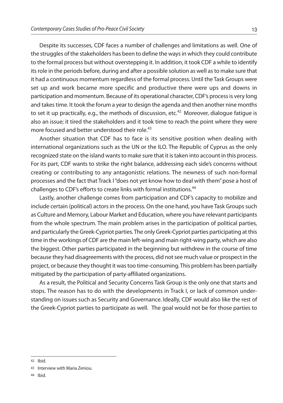Despite its successes, CDF faces a number of challenges and limitations as well. One of the struggles of the stakeholders has been to define the ways in which they could contribute to the formal process but without overstepping it. In addition, it took CDF a while to identify its role in the periods before, during and after a possible solution as well as to make sure that it had a continuous momentum regardless of the formal process. Until the Task Groups were set up and work became more specific and productive there were ups and downs in participation and momentum. Because of its operational character, CDF's processis very long and takes time. It took the forum a year to design the agenda and then another nine months to set it up practically, e.g., the methods of discussion, etc.<sup>42</sup> Moreover, dialogue fatigue is also an issue; it tired the stakeholders and it took time to reach the point where they were more focused and better understood their role. 43

Another situation that CDF has to face is its sensitive position when dealing with international organizations such as the UN or the ILO. The Republic of Cyprus as the only recognized state on the island wants to make sure that it is taken into account in this process. For its part, CDF wants to strike the right balance, addressing each side's concerns without creating or contributing to any antagonistic relations. The newness of such non-formal processes and the fact that Track I "does not yet know how to deal with them" pose a host of challenges to CDF's efforts to create links with formal institutions.<sup>44</sup>

Lastly, another challenge comes from participation and CDF's capacity to mobilize and include certain (political) actors in the process. On the one hand, you have Task Groups such as Culture and Memory, Labour Market and Education, where you have relevant participants from the whole spectrum. The main problem arises in the participation of political parties, and particularly the Greek-Cypriot parties. The only Greek-Cypriot parties participating at this time in the workings of CDF are the main left-wing and main right-wing party, which are also the biggest. Other parties participated in the beginning but withdrew in the course of time because they had disagreements with the process, did not see much value or prospect in the project, or because they thought it wastoo time-consuming. This problem has been partially mitigated by the participation of party-affiliated organizations.

As a result, the Political and Security Concerns Task Group is the only one that starts and stops. The reason has to do with the developments in Track I, or lack of common understanding on issues such as Security and Governance. Ideally, CDF would also like the rest of the Greek-Cypriot parties to participate as well. The goal would not be for those parties to

<sup>42</sup> Ibid.

<sup>43</sup> Interview with Maria Zeniou.

<sup>44</sup> Ibid.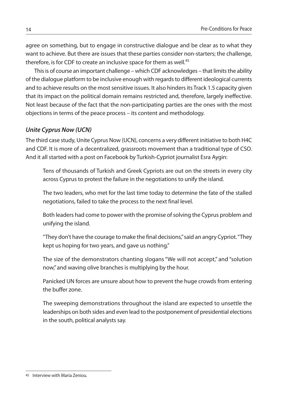agree on something, but to engage in constructive dialogue and be clear as to what they want to achieve. But there are issues that these parties consider non-starters; the challenge, therefore, is for CDF to create an inclusive space for them as well.<sup>45</sup>

This is of course an important challenge – which CDF acknowledges – that limits the ability of the dialogue platform to be inclusive enough with regards to different ideological currents and to achieve results on the most sensitive issues. It also hinders its Track 1.5 capacity given that its impact on the political domain remains restricted and, therefore, largely ineffective. Not least because of the fact that the non-participating parties are the ones with the most objections in terms of the peace process – its content and methodology.

#### *Unite Cyprus Now (UCN)*

The third case study, Unite Cyprus Now (UCN), concerns a very different initiative to both H4C and CDF. It is more of a decentralized, grassroots movement than a traditional type of CSO. And it all started with a post on Facebook by Turkish-Cypriot journalist Esra Aygin:

Tens of thousands of Turkish and Greek Cypriots are out on the streets in every city across Cyprus to protest the failure in the negotiations to unify the island.

The two leaders, who met for the last time today to determine the fate of the stalled negotiations, failed to take the process to the next final level.

Both leaders had come to power with the promise of solving the Cyprus problem and unifying the island.

"They don't have the courage to make the final decisions,"said an angry Cypriot."They kept us hoping for two years, and gave us nothing."

The size of the demonstrators chanting slogans "We will not accept," and "solution now,"and waving olive branches is multiplying by the hour.

Panicked UN forces are unsure about how to prevent the huge crowds from entering the buffer zone.

The sweeping demonstrations throughout the island are expected to unsettle the leaderships on both sides and even lead to the postponement of presidential elections in the south, political analysts say.

<sup>45</sup> Interview with Maria Zeniou.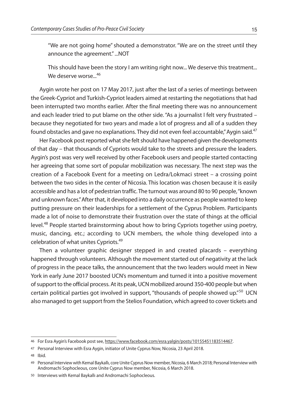"We are not going home" shouted a demonstrator. "We are on the street until they announce the agreement."...NOT

This should have been the story I am writing right now... We deserve this treatment... We deserve worse... 46

Aygin wrote her post on 17 May 2017, just after the last of a series of meetings between the Greek-Cypriot and Turkish-Cypriot leaders aimed at restarting the negotiations that had been interrupted two months earlier. After the final meeting there was no announcement and each leader tried to put blame on the other side."As a journalist I felt very frustrated – because they negotiated for two years and made a lot of progress and all of a sudden they found obstacles and gave no explanations. They did not even feel accountable," Aygin said. $^{47}$ 

Her Facebook post reported what she felt should have happened given the developments of that day – that thousands of Cypriots would take to the streets and pressure the leaders. Aygin's post was very well received by other Facebook users and people started contacting her agreeing that some sort of popular mobilization was necessary. The next step was the creation of a Facebook Event for a meeting on Ledra/Lokmaci street – a crossing point between the two sides in the center of Nicosia. This location was chosen because it is easily accessible and has a lot of pedestrian traffic. The turnout was around 80 to 90 people,"known and unknown faces." After that, it developed into a daily occurrence as people wanted to keep putting pressure on their leaderships for a settlement of the Cyprus Problem. Participants made a lot of noise to demonstrate their frustration over the state of things at the official level.<sup>48</sup> People started brainstorming about how to bring Cypriots together using poetry, music, dancing, etc.; according to UCN members, the whole thing developed into a celebration of what unites Cypriots. 49

Then a volunteer graphic designer stepped in and created placards – everything happened through volunteers. Although the movement started out of negativity at the lack of progress in the peace talks, the announcement that the two leaders would meet in New York in early June 2017 boosted UCN's momentum and turned it into a positive movement of support to the official process. At its peak, UCN mobilized around 350-400 people but when certain political parties got involved in support, "thousands of people showed up."<sup>50</sup> UCN also managed to get support from the Stelios Foundation, which agreed to cover tickets and

48 Ibid.

<sup>46</sup> For Esra Aygin's Facebook post see, https://www.facebook.com/esra.yalgin/posts/10155451183514467.

<sup>47</sup> Personal Interview with Esra Aygin, initiator of Unite Cyprus Now, Nicosia, 23 April 2018.

<sup>49</sup> Personal Interview with Kemal Baykallı, core Unite Cyprus Now member, Nicosia, 6 March 2018; Personal Interview with Andromachi Sophocleous, core Unite Cyprus Now member, Nicosia, 6 March 2018.

<sup>50</sup> Interviews with Kemal Baykallı and Andromachi Sophocleous.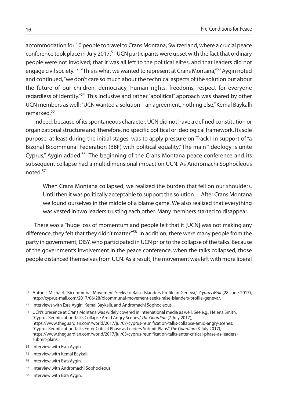accommodation for 10 people to travel to Crans Montana, Switzerland, where a crucial peace conference took place in July 2017.<sup>51</sup> UCN participants were upset with the fact that ordinary people were not involved; that it was all left to the political elites, and that leaders did not engage civil society.<sup>52</sup> "This is what we wanted to represent at Crans Montana,"<sup>53</sup> Aygin noted and continued,"we don't care so much about the technical aspects of the solution but about the future of our children, democracy, human rights, freedoms, respect for everyone regardless of identity."<sup>54</sup> This inclusive and rather "apolitical" approach was shared by other UCN members as well:"UCN wanted a solution – an agreement, nothing else,"Kemal Baykallı remarked. 55

Indeed, because of itsspontaneous character, UCN did not have a defined constitution or organizational structure and, therefore, no specific political or ideological framework. Its sole purpose, at least during the initial stages, was to apply pressure on Track I in support of"a Bizonal Bicommunal Federation (BBF) with political equality." The main "ideology is unite Cyprus," Aygin added.<sup>56</sup> The beginning of the Crans Montana peace conference and its subsequent collapse had a multidimensional impact on UCN. As Andromachi Sophocleous noted, 57

When Crans Montana collapsed, we realized the burden that fell on our shoulders. Until then it was politically acceptable to support the solution… After Crans Montana we found ourselves in the middle of a blame game. We also realized that everything was vested in two leaders trusting each other. Many members started to disappear.

There was a "huge loss of momentum and people felt that it [UCN] was not making any difference, they felt that they didn't matter."<sup>58</sup> In addition, there were many people from the party in government, DISY, who participated in UCN prior to the collapse of the talks. Because of the government's involvement in the peace conference, when the talks collapsed, those people distanced themselvesfrom UCN. As a result, the movement wasleft with more liberal

53 UCN's presence at Crans Montana was widely covered in international media as well. See e.g., Helena Smith, "Cyprus Reunification Talks Collapse Amid Angry Scenes," *The Guardian* (7 July 2017), https://www.theguardian.com/world/2017/jul/07/cyprus-reunification-talks-collapse-amid-angry-scenes; "Cyprus Reunification Talks Enter Critical Phase as Leaders Submit Plans," *The Guardian* (3 July 2017), https://www.theguardian.com/world/2017/jul/03/cyprus-reunification-talks-enter-critical-phase-as-leaderssubmit-plans.

56 Interview with Esra Aygin.

58 Interview with Esra Aygin.

<sup>51</sup> Antonis Michael, "Bicommunal Movement Seeks to Raise Islanders Profile in Geneva," *Cyprus Mail* (28 June 2017), http://cyprus-mail.com/2017/06/28/bicommunal-movement-seeks-raise-islanders-profile-geneva/.

<sup>52</sup> Interviews with Esra Aygin, Kemal Baykallı, and Andromachi Sophocleous.

<sup>54</sup> Interview with Esra Aygin.

<sup>55</sup> Interview with Kemal Baykallı.

<sup>57</sup> Interview with Andromachi Sophocleous.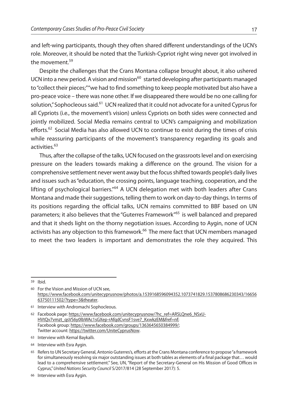and left-wing participants, though they often shared different understandings of the UCN's role. Moreover, it should be noted that the Turkish-Cypriot right wing never got involved in the movement. 59

Despite the challenges that the Crans Montana collapse brought about, it also ushered UCN into a new period. A vision and mission<sup>60</sup> started developing after participants managed to "collect their pieces;" "we had to find something to keep people motivated but also have a pro-peace voice – there was none other. If we disappeared there would be no one calling for solution," Sophocleous said.<sup>61</sup> UCN realized that it could not advocate for a united Cyprus for all Cypriots (i.e., the movement's vision) unless Cypriots on both sides were connected and jointly mobilized. Social Media remains central to UCN's campaigning and mobilization efforts.<sup>62</sup> Social Media has also allowed UCN to continue to exist during the times of crisis while reassuring participants of the movement's transparency regarding its goals and activities. 63

Thus, after the collapse of the talks, UCN focused on the grassrootslevel and on exercising pressure on the leaders towards making a difference on the ground. The vision for a comprehensive settlement never went away but the focus shifted towards people's daily lives and issues such as"education, the crossing points, language teaching, cooperation, and the lifting of psychological barriers."<sup>64</sup> A UCN delegation met with both leaders after Crans Montana and made their suggestions, telling them to work on day-to-day things. In terms of its positions regarding the official talks, UCN remains committed to BBF based on UN parameters; it also believes that the "Guterres Framework" <sup>65</sup> is well balanced and prepared and that it sheds light on the thorny negotiation issues. According to Aygin, none of UCN activists has any objection to this framework. <sup>66</sup> The mere fact that UCN members managed to meet the two leaders is important and demonstrates the role they acquired. This

59 Ibid.

60 For the Vision and Mission of UCN see, https://www.facebook.com/unitecyprusnow/photos/a.1539168596094352.1073741829.1537808686230343/16656 63750111502/?type=3&theater.

<sup>61</sup> Interview with Andromachi Sophocleous.

<sup>62</sup> Facebook page: https://www.facebook.com/unitecyprusnow/?hc\_ref=ARSLQne6\_NSxU-HVtQv7vmzt\_qsVS6y0lbWAc1sGXep-rAfqdCvnsF1sve7\_KxwkzEM&fref=nf; Facebook group: https://www.facebook.com/groups/1363645650384999/; Twitter account: https://twitter.com/UniteCyprusNow.

<sup>63</sup> Interview with Kemal Baykallı.

<sup>64</sup> Interview with Esra Aygin.

<sup>65</sup> Refersto UN Secretary General, Antonio Guterres's, efforts at the Crans Montana conference to propose"a framework for simultaneously resolving six major outstanding issues at both tables as elements of a final package that... would lead to a comprehensive settlement." See, UN, "Report of the Secretary-General on His Mission of Good Offices in Cyprus,"*United Nations Security Council* S/2017/814 (28 September 2017): 5.

<sup>66</sup> Interview with Esra Aygin.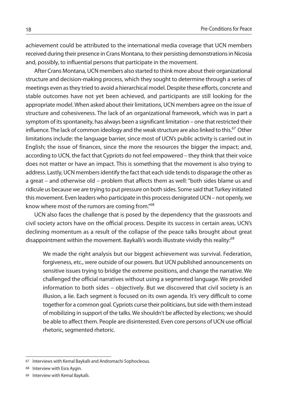achievement could be attributed to the international media coverage that UCN members received during their presence in Crans Montana, to their persisting demonstrations in Nicosia and, possibly, to influential persons that participate in the movement.

After Crans Montana, UCN members also started to think more about their organizational structure and decision-making process, which they sought to determine through a series of meetings even asthey tried to avoid a hierarchical model. Despite these efforts, concrete and stable outcomes have not yet been achieved, and participants are still looking for the appropriate model. When asked about their limitations, UCN members agree on the issue of structure and cohesiveness. The lack of an organizational framework, which was in part a symptom of its spontaneity, has always been a significant limitation – one that restricted their influence. The lack of common ideology and the weak structure are also linked to this.<sup>67</sup> Other limitations include: the language barrier, since most of UCN's public activity is carried out in English; the issue of finances, since the more the resources the bigger the impact; and, according to UCN, the fact that Cypriots do not feel empowered – they think that their voice does not matter or have an impact. This is something that the movement is also trying to address. Lastly, UCN members identify the fact that each side tends to disparage the other as a great – and otherwise old – problem that affects them as well:"both sides blame us and ridicule us because we are trying to put pressure on both sides. Some said that Turkey initiated this movement. Even leaders who participate in this process denigrated UCN– not openly, we know where most of the rumors are coming from."<sup>68</sup>

UCN also faces the challenge that is posed by the dependency that the grassroots and civil society actors have on the official process. Despite its success in certain areas, UCN's declining momentum as a result of the collapse of the peace talks brought about great disappointment within the movement. Baykallı's words illustrate vividly this reality:<sup>69</sup>

We made the right analysis but our biggest achievement was survival. Federation, forgiveness, etc., were outside of our powers. But UCN published announcements on sensitive issues trying to bridge the extreme positions, and change the narrative. We challenged the official narratives without using a segmented language. We provided information to both sides – objectively. But we discovered that civil society is an illusion, a lie. Each segment is focused on its own agenda. It's very difficult to come together for a common goal. Cypriots curse their politicians, but side with them instead of mobilizing in support of the talks.We shouldn't be affected by elections; we should be able to affect them. People are disinterested. Even core persons of UCN use official rhetoric, segmented rhetoric.

<sup>67</sup> Interviews with Kemal Baykallı and Andromachi Sophocleous.

<sup>68</sup> Interview with Esra Aygin.

<sup>69</sup> Interview with Kemal Baykallı.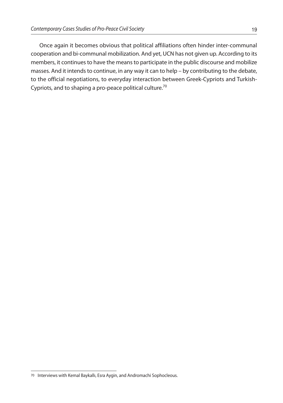Once again it becomes obvious that political affiliations often hinder inter-communal cooperation and bi-communal mobilization. And yet, UCN has not given up. According to its members, it continues to have the means to participate in the public discourse and mobilize masses. And it intends to continue, in any way it can to help – by contributing to the debate, to the official negotiations, to everyday interaction between Greek-Cypriots and Turkish-Cypriots, and to shaping a pro-peace political culture.<sup>70</sup>

<sup>70</sup> Interviews with Kemal Baykallı, Esra Aygin, and Andromachi Sophocleous.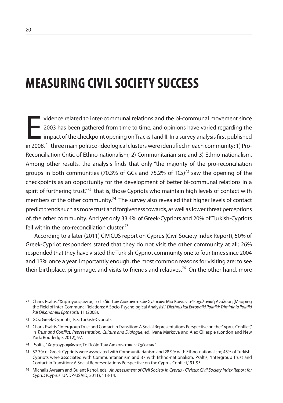## **MEASURING CIVILSOCIETY SUCCESS**

vidence related to inter-communal relations and the bi-communal movement since<br>2003 has been gathered from time to time, and opinions have varied regarding the<br>impact of the checkpoint opening on Tracks I and II. In a surv vidence related to inter-communal relations and the bi-communal movement since 2003 has been gathered from time to time, and opinions have varied regarding the  $\blacksquare$  impact of the checkpoint opening on Tracks I and II. In a survey analysis first published Reconciliation Critic of Ethno-nationalism; 2) Communitarianism; and 3) Ethno-nationalism. Among other results, the analysis finds that only "the majority of the pro-reconciliation groups in both communities (70.3% of GCs and 75.2% of TCs)<sup>72</sup> saw the opening of the checkpoints as an opportunity for the development of better bi-communal relations in a spirit of furthering trust,"<sup>73</sup> that is, those Cypriots who maintain high levels of contact with members of the other community.<sup>74</sup> The survey also revealed that higher levels of contact predict trends such as more trust and forgiveness towards, as well as lower threat perceptions of, the other community. And yet only 33.4% of Greek-Cypriots and 20% of Turkish-Cypriots fell within the pro-reconciliation cluster.<sup>75</sup>

According to a later (2011) CIVICUS report on Cyprus (Civil Society Index Report), 50% of Greek-Cypriot responders stated that they do not visit the other community at all; 26% responded that they have visited the Turkish-Cypriot community one to four times since 2004 and 13% once a year. Importantly enough, the most common reasons for visiting are: to see their birthplace, pilgrimage, and visits to friends and relatives.<sup>76</sup> On the other hand, more

<sup>71</sup> Charis Psaltis,"Χαρτογραφώντας Το Πεδίο Των Διακοινοτικών Σχέσεων: Μια Κοινωνιο-Ψυχολογική Ανάλυση [Mapping the Field of Inter-Communal Relations: A Socio-Psychological Analysis],"*Diethnis kai Evropaiki Politiki: Triminiaia Politiki kai Oikonomiki Eptheorisi* 11 (2008).

<sup>72</sup> GCs: Greek-Cypriots; TCs: Turkish-Cypriots.

<sup>73</sup> Charis Psaltis,"IntergroupTrust and Contact inTransition: A Social Representations Perspective on the Cyprus Conflict," in *Trust and Conflict: Representation, Culture and Dialogue*, ed. Ivana Markova and Alex Gillespie (London and New York: Routledge, 2012), 97.

<sup>74</sup> Psaltis,"Χαρτογραφώντας Το Πεδίο Των Διακοινοτικών Σχέσεων."

<sup>75</sup> 37.7% of Greek-Cypriots were associated with Communitarianism and 28.9% with Ethno-nationalism; 43% of Turkish-Cypriots were associated with Communitarianism and 37 with Ethno-nationalism. Psaltis, "Intergroup Trust and Contact in Transition: A Social Representations Perspective on the Cyprus Conflict,"91-95.

<sup>76</sup> Michalis Avraam and Bulent Kanol, eds., *An Assessment of Civil Society in Cyprus - Civicus: Civil Society Index Report for Cyprus* (Cyprus: UNDP-USAID, 2011), 113-14.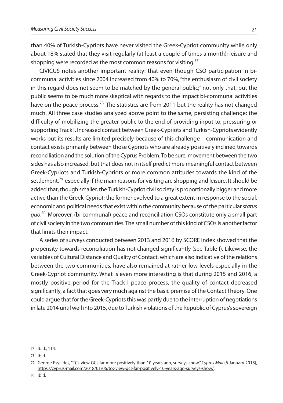than 40% of Turkish-Cypriots have never visited the Greek-Cypriot community while only about 18% stated that they visit regularly (at least a couple of times a month); leisure and shopping were recorded as the most common reasons for visiting. $^{77}$ 

CIVICUS notes another important reality: that even though CSO participation in bicommunal activities since 2004 increased from 40% to 70%,"the enthusiasm of civil society in this regard does not seem to be matched by the general public;" not only that, but the public seems to be much more skeptical with regards to the impact bi-communal activities have on the peace process.<sup>78</sup> The statistics are from 2011 but the reality has not changed much. All three case studies analyzed above point to the same, persisting challenge: the difficulty of mobilizing the greater public to the end of providing input to, pressuring or supporting Track I. Increased contact between Greek-Cypriots and Turkish-Cypriots evidently works but its results are limited precisely because of this challenge – communication and contact exists primarily between those Cypriots who are already positively inclined towards reconciliation and the solution of the Cyprus Problem. To be sure, movement between the two sides has also increased, but that does not in itself predict more meaningful contact between Greek-Cypriots and Turkish-Cypriots or more common attitudes towards the kind of the settlement,<sup>79</sup> especially if the main reasons for visiting are shopping and leisure. It should be added that, though smaller, the Turkish-Cypriot civil society is proportionally bigger and more active than the Greek-Cypriot; the former evolved to a great extent in response to the social, economic and political needs that exist within the community because of the particular *status quo*. <sup>80</sup> Moreover, (bi-communal) peace and reconciliation CSOs constitute only a small part of civil society in the two communities. The small number of this kind of CSOs is another factor that limits their impact.

A series of surveys conducted between 2013 and 2016 by SCORE Index showed that the propensity towards reconciliation has not changed significantly (see Table I). Likewise, the variables of Cultural Distance and Quality of Contact, which are also indicative of the relations between the two communities, have also remained at rather low levels especially in the Greek-Cypriot community. What is even more interesting is that during 2015 and 2016, a mostly positive period for the Track I peace process, the quality of contact decreased significantly, a fact that goes very much against the basic premise of the Contact Theory. One could arque that for the Greek-Cypriots this was partly due to the interruption of negotiations in late 2014 until well into 2015, due to Turkish violations of the Republic of Cyprus's sovereign

<sup>77</sup> Ibid., 114.

<sup>78</sup> Ibid.

<sup>79</sup> George Psyllides, "TCs view GCs far more positively than 10 years ago, surveys show," *Cyprus Mail* (6 January 2018), https://cyprus-mail.com/2018/01/06/tcs-view-gcs-far-positively-10-years-ago-surveys-show/.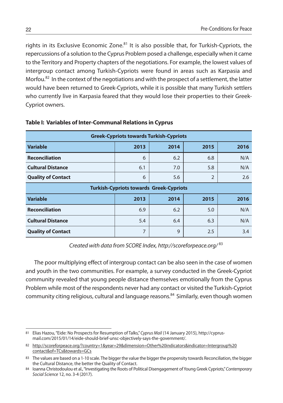rights in its Exclusive Economic Zone.<sup>81</sup> It is also possible that, for Turkish-Cypriots, the repercussions of a solution to the Cyprus Problem posed a challenge, especially when it came to the Territory and Property chapters of the negotiations. For example, the lowest values of intergroup contact among Turkish-Cypriots were found in areas such as Karpasia and Morfou. <sup>82</sup> In the context of the negotiations and with the prospect of a settlement, the latter would have been returned to Greek-Cypriots, while it is possible that many Turkish settlers who currently live in Karpasia feared that they would lose their properties to their Greek-Cypriot owners.

| <b>Greek-Cypriots towards Turkish-Cypriots</b> |      |      |      |      |  |  |
|------------------------------------------------|------|------|------|------|--|--|
| <b>Variable</b>                                | 2013 | 2014 | 2015 | 2016 |  |  |
| <b>Reconciliation</b>                          | 6    | 6.2  | 6.8  | N/A  |  |  |
| <b>Cultural Distance</b>                       | 6.1  | 7.0  | 5.8  | N/A  |  |  |
| <b>Quality of Contact</b>                      | 6    | 5.6  | 2    | 2.6  |  |  |
| <b>Turkish-Cypriots towards Greek-Cypriots</b> |      |      |      |      |  |  |
| <b>Variable</b>                                | 2013 | 2014 | 2015 | 2016 |  |  |
| <b>Reconciliation</b>                          | 6.9  | 6.2  | 5.0  | N/A  |  |  |
| <b>Cultural Distance</b>                       | 5.4  | 6.4  | 6.3  | N/A  |  |  |
| <b>Quality of Contact</b>                      | 7    | 9    | 2.5  | 3.4  |  |  |

#### **Table I: Variables of Inter-Communal Relations in Cyprus**

*Created with data from SCORE Index, http://scoreforpeace.org/* <sup>83</sup>

The poor multiplying effect of intergroup contact can be also seen in the case of women and youth in the two communities. For example, a survey conducted in the Greek-Cypriot community revealed that young people distance themselves emotionally from the Cyprus Problem while most of the respondents never had any contact or visited the Turkish-Cypriot community citing religious, cultural and language reasons. <sup>84</sup> Similarly, even though women

<sup>81</sup> Elias Hazou,"Eide: No Prospects for Resumption of Talks,"*Cyprus Mail* (14 January 2015), http://cyprusmail.com/2015/01/14/eide-should-brief-unsc-objectively-says-the-government/.

<sup>82</sup> http://scoreforpeace.org/?country=1&year=29&dimension=Other%20indicators&indicator=Intergroup%20 contact&of=TCs&towards=GCs

<sup>83</sup> The values are based on a 1-10 scale. The bigger the value the bigger the propensity towards Reconciliation, the bigger the Cultural Distance, the better the Quality of Contact.

<sup>84</sup> Ioanna Christodoulou et al.,"Investigating the Roots of Political Disengagement of Young Greek Cypriots,"*Contemporary Social Science* 12, no. 3-4 (2017).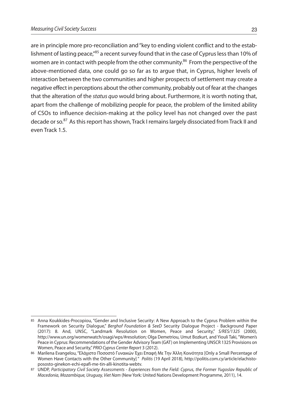are in principle more pro-reconciliation and"key to ending violent conflict and to the establishment of lasting peace,"<sup>85</sup> a recent survey found that in the case of Cyprus less than 10% of women are in contact with people from the other community. <sup>86</sup> From the perspective of the above-mentioned data, one could go so far as to argue that, in Cyprus, higher levels of interaction between the two communities and higher prospects of settlement may create a negative effect in perceptions about the other community, probably out of fear at the changes that the alteration of the *status quo* would bring about. Furthermore, it is worth noting that, apart from the challenge of mobilizing people for peace, the problem of the limited ability of CSOs to influence decision-making at the policy level has not changed over the past decade or so.<sup>87</sup> As this report has shown, Track I remains largely dissociated from Track II and even Track 1.5.

<sup>85</sup> Anna Koukkides-Procopiou, "Gender and Inclusive Security: A New Approach to the Cyprus Problem within the Framework on Security Dialogue," *Berghof Foundation & SeeD* Security Dialogue Project - Background Paper (2017): 8. And, UNSC, "Landmark Resolution on Women, Peace and Security," *S/RES/1325* (2000), http://www.un.org/womenwatch/osagi/wps/#resolution; Olga Demetriou, Umut Bozkurt, and Yiouli Taki,"Women's Peace in Cyprus: Recommendations of the Gender Advisory Team (GAT) on Implementing UNSCR 1325 Provisions on Women, Peace and Security,"*PRIO Cyprus Center Report* 3 (2012).

<sup>86</sup> Marilena Evangelou,"Ελάχιστο Ποσοστό Γυναικών Έχει Επαφή Με Την Άλλη Κοινότητα [Only a Small Percentage of Women Have Contacts with the Other Community] " *Politis* (19 April 2018), http://politis.com.cy/article/elachistopososto-ginekon-echi-epafi-me-tin-alli-kinotita-webtv.

<sup>87</sup> UNDP, *Participatory Civil Society Assessments - Experiences from the Field: Cyprus, the Former Yugoslav Republic of Macedonia, Mozambique, Uruguay, Viet Nam* (New York: United Nations Development Programme, 2011), 14.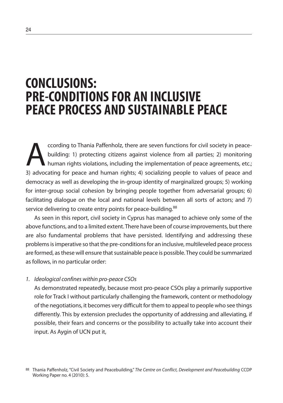### **CONCLUSIONS: PRE-CONDITIONSFOR AN INCLUSIVE PEACE PROCESS AND SUSTAINABLE PEACE**

ccording to Thania Paffenholz, there are seven functions for civil society in peace-<br>building: 1) protecting citizens against violence from all parties; 2) monitoring<br>human rights violations, including the implementation o building: 1) protecting citizens against violence from all parties; 2) monitoring human rights violations, including the implementation of peace agreements, etc.; 3) advocating for peace and human rights; 4) socializing people to values of peace and democracy as well as developing the in-group identity of marginalized groups; 5) working for inter-group social cohesion by bringing people together from adversarial groups; 6) facilitating dialogue on the local and national levels between all sorts of actors; and 7) service delivering to create entry points for peace-building.<sup>88</sup>

As seen in this report, civil society in Cyprus has managed to achieve only some of the above functions, and to a limited extent. There have been of course improvements, but there are also fundamental problems that have persisted. Identifying and addressing these problems is imperative so that the pre-conditions for an inclusive, multileveled peace process are formed, as these will ensure that sustainable peace is possible. They could be summarized as follows, in no particular order:

#### *1. Ideological confines within pro-peace CSOs*

As demonstrated repeatedly, because most pro-peace CSOs play a primarily supportive role for Track I without particularly challenging the framework, content or methodology of the negotiations, it becomes very difficult for them to appeal to people who see things differently. This by extension precludes the opportunity of addressing and alleviating, if possible, their fears and concerns or the possibility to actually take into account their input. As Aygin of UCN put it,

<sup>88</sup> Thania Paffenholz, "Civil Society and Peacebuilding," *The Centre on Conflict, Development and Peacebuilding* CCDP Working Paper no. 4 (2010): 5.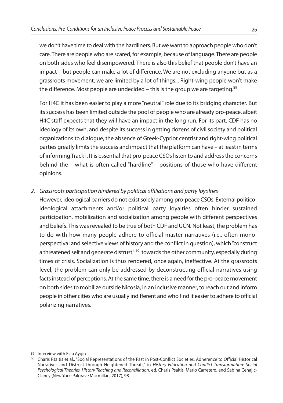we don't have time to deal with the hardliners. But we wantto approach people who don't care.There are people who are scared, for example, because of language.There are people on both sides who feel disempowered. There is also this belief that people don't have an impact – but people can make a lot of difference. We are not excluding anyone but as a grassroots movement, we are limited by a lot of things... Right-wing people won't make the difference. Most people are undecided – this is the group we are targeting. $^{89}$ 

For H4C it has been easier to play a more "neutral"role due to its bridging character. But its success has been limited outside the pool of people who are already pro-peace, albeit H4C staff expects that they will have an impact in the long run. For its part, CDF has no ideology of its own, and despite its success in getting dozens of civil society and political organizations to dialogue, the absence of Greek-Cypriot centrist and right-wing political parties greatly limits the success and impact that the platform can have – at least in terms of informing Track I. It is essential that pro-peace CSOs listen to and address the concerns behind the – what is often called "hardline" – positions of those who have different opinions.

#### *2. Grassroots participation hindered by political affiliations and party loyalties*

However, ideological barriers do not exist solely among pro-peace CSOs. External politicoideological attachments and/or political party loyalties often hinder sustained participation, mobilization and socialization among people with different perspectives and beliefs. This was revealed to be true of both CDF and UCN. Not least, the problem has to do with how many people adhere to official master narratives (i.e., often monoperspectival and selective views of history and the conflict in question), which"construct a threatened self and generate distrust"<sup>90</sup> towards the other community, especially during times of crisis. Socialization is thus rendered, once again, ineffective. At the grassroots level, the problem can only be addressed by deconstructing official narratives using facts instead of perceptions. At the same time, there is a need for the pro-peace movement on both sidesto mobilize outside Nicosia, in an inclusive manner, to reach out and inform people in other cities who are usually indifferent and who find it easierto adhere to official polarizing narratives.

<sup>89</sup> Interview with Esra Aygin.

<sup>90</sup> Charis Psaltis et al., "Social Representations of the Past in Post-Conflict Societies: Adherence to Official Historical Narratives and Distrust through Heightened Threats," in *History Education and Conflict Transformation: Social Psychological Theories, History Teaching and Reconciliation*, ed. Charis Psaltis, Mario Carretero, and Sabina Cehajic-Clancy (New York: Palgrave Macmillan, 2017), 98.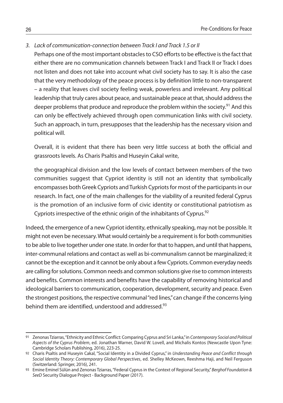- *3. Lack of communication-connection between Track I and Track 1.5 or II*
	- Perhaps one of the most important obstacles to CSO efforts to be effective is the fact that either there are no communication channels between Track I and Track II or Track I does not listen and does not take into account what civil society has to say. It is also the case that the very methodology of the peace process is by definition little to non-transparent – a reality that leaves civil society feeling weak, powerless and irrelevant. Any political leadership that truly cares about peace, and sustainable peace at that, should address the deeper problems that produce and reproduce the problem within the society.<sup>91</sup> And this can only be effectively achieved through open communication links with civil society. Such an approach, in turn, presupposes that the leadership has the necessary vision and political will.

Overall, it is evident that there has been very little success at both the official and grassroots levels. As Charis Psaltis and Huseyin Cakal write,

the geographical division and the low levels of contact between members of the two communities suggest that Cypriot identity is still not an identity that symbolically encompasses both Greek Cypriots and Turkish Cypriots for most of the participants in our research. In fact, one of the main challenges for the viability of a reunited federal Cyprus is the promotion of an inclusive form of civic identity or constitutional patriotism as Cypriots irrespective of the ethnic origin of the inhabitants of Cyprus.<sup>92</sup>

Indeed, the emergence of a new Cypriot identity, ethnically speaking, may not be possible. It might not even be necessary. What would certainly be a requirement is for both communities to be able to live together under one state. In order for that to happen, and until that happens, inter-communal relations and contact as well as bi-communalism cannot be marginalized; it cannot be the exception and it cannot be only about a few Cypriots. Common everyday needs are calling forsolutions. Common needs and common solutions give rise to common interests and benefits. Common interests and benefits have the capability of removing historical and ideological barriers to communication, cooperation, development, security and peace. Even the strongest positions, the respective communal "red lines," can change if the concerns lying behind them are identified, understood and addressed.<sup>93</sup>

<sup>91</sup> Zenonas Tziarras,"Ethnicity and Ethnic Conflict: Comparing Cyprus and Sri Lanka,"in *Contemporary Social and Political Aspects of the Cyprus Problem*, ed. Jonathan Warner, David W. Lovell, and Michalis Kontos (Newcastle Upon Tyne: Cambridge Scholars Publishing, 2016), 223-25.

<sup>92</sup> Charis Psaltis and Huseyin Cakal, "Social Identity in a Divided Cyprus," in *Understanding Peace and Conflict through Social Identity Theory: Contemporary Global Perspectives*, ed. Shelley McKeown, Reeshma Haji, and Neil Ferguson (Switzerland: Springer, 2016), 241.

<sup>93</sup> Emine Eminel Sülün and Zenonas Tziarras,"Federal Cyprus in the Context of Regional Security,"*Berghof Foundation & SeeD* Security Dialogue Project - Background Paper (2017).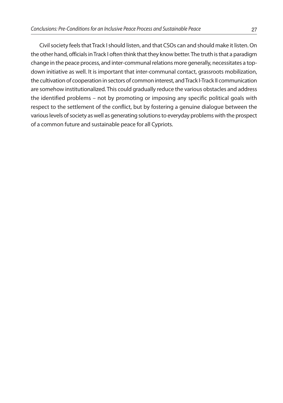Civil society feels that Track I should listen, and that CSOs can and should make it listen. On the other hand, officials in Track I often think that they know better. The truth is that a paradigm change in the peace process, and inter-communal relations more generally, necessitates a topdown initiative as well. It is important that inter-communal contact, grassroots mobilization, the cultivation of cooperation in sectors of common interest, andTrack I-Track II communication are somehow institutionalized. This could gradually reduce the various obstacles and address the identified problems – not by promoting or imposing any specific political goals with respect to the settlement of the conflict, but by fostering a genuine dialogue between the various levels of society as well as generating solutions to everyday problems with the prospect of a common future and sustainable peace for all Cypriots.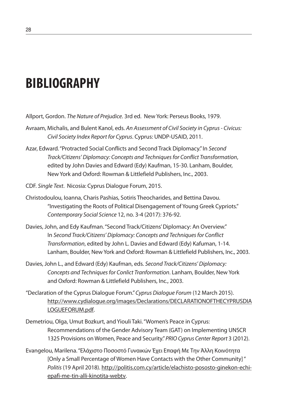## **BIBLIOGRAPHY**

Allport, Gordon. *The Nature of Prejudice*. 3rd ed. New York: Perseus Books, 1979.

- Avraam, Michalis, and Bulent Kanol, eds. *An Assessment of Civil Society in Cyprus- Civicus: Civil Society Index Report for Cyprus*. Cyprus: UNDP-USAID, 2011.
- Azar, Edward."Protracted Social Conflicts and Second Track Diplomacy."In *Second Track/Citizens' Diplomacy: Concepts and Techniquesfor Conflict Transformation*, edited by John Davies and Edward (Edy) Kaufman, 15-30. Lanham, Boulder, New York and Oxford: Rowman & Littlefield Publishers, Inc., 2003.
- CDF. *Single Text*. Nicosia: Cyprus Dialogue Forum, 2015.
- Christodoulou, Ioanna, Charis Pashias, Sotiris Theocharides, and Bettina Davou. "Investigating the Roots of Political Disengagement of Young Greek Cypriots." *Contemporary Social Science* 12, no. 3-4 (2017): 376-92.
- Davies, John, and Edy Kaufman."Second Track/Citizens'Diplomacy: An Overview." In *Second Track/Citizens' Diplomacy: Concepts and Techniquesfor Conflict Transformation*, edited by John L. Davies and Edward (Edy) Kafuman, 1-14. Lanham, Boulder, New York and Oxford: Rowman & Littlefield Publishers, Inc., 2003.
- Davies, John L., and Edward (Edy) Kaufman, eds. *Second Track/Citizens' Diplomacy: Concepts and Techniquesfor Conlict Tranformation*. Lanham, Boulder, New York and Oxford: Rowman & Littlefield Publishers, Inc., 2003.
- "Declaration of the Cyprus Dialogue Forum."*Cyprus Dialogue Forum* (12 March 2015). http://www.cydialogue.org/images/Declarations/DECLARATIONOFTHECYPRUSDIA LOGUEFORUM.pdf.
- Demetriou, Olga, Umut Bozkurt, and Yiouli Taki."Women's Peace in Cyprus: Recommendations of the Gender Advisory Team (GAT) on Implementing UNSCR 1325 Provisions on Women, Peace and Security."*PRIOCyprus Center Report* 3 (2012).
- Evangelou, Marilena."Ελάχιστο Ποσοστό Γυναικών Έχει Επαφή Με Την Άλλη Κοινότητα [Only a Small Percentage of Women Have Contacts with the Other Community]" *Politis* (19 April 2018). http://politis.com.cy/article/elachisto-pososto-ginekon-echiepafi-me-tin-alli-kinotita-webtv.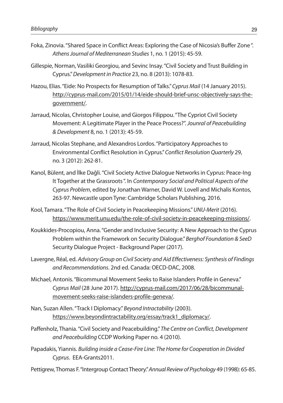- Foka, Zinovia."Shared Space in Conflict Areas: Exploring the Case of Nicosia's Buffer Zone". *AthensJournal of Mediterranean Studies* 1, no. 1 (2015): 45-59.
- Gillespie, Norman, Vasiliki Georgiou, and Sevinc Insay."Civil Society and Trust Building in Cyprus."*Development in Practice* 23, no. 8 (2013): 1078-83.
- Hazou, Elias."Eide: No Prospects for Resumption of Talks."*Cyprus Mail* (14 January 2015). http://cyprus-mail.com/2015/01/14/eide-should-brief-unsc-objectively-says-thegovernment/.
- Jarraud, Nicolas, Christopher Louise, and Giorgos Filippou."The Cypriot Civil Society Movement: A Legitimate Player in the Peace Process?". *Jounral of Peacebuilding & Development* 8, no. 1 (2013): 45-59.
- Jarraud, Nicolas Stephane, and Alexandros Lordos."Participatory Approaches to Environmental Conflict Resolution in Cyprus."*Conflict Resolution Quarterly* 29, no. 3 (2012): 262-81.
- Kanol, Bülent, and İlke Dağli."Civil Society Active Dialogue Networks in Cyprus: Peace-Ing It Together at the Grassroots". In *Contemporary Social and Political Aspects of the Cyprus Problem*, edited by Jonathan Warner, David W. Lovell and Michalis Kontos, 263-97. Newcastle upon Tyne: Cambridge Scholars Publishing, 2016.
- Kool, Tamara."The Role of Civil Society in Peacekeeping Missions."*UNU-Merit* (2016). https://www.merit.unu.edu/the-role-of-civil-society-in-peacekeeping-missions/.
- Koukkides-Procopiou, Anna."Gender and Inclusive Security: A New Approach to the Cyprus Problem within the Framework on Security Dialogue."*Berghof Foundation & SeeD* Security Dialogue Project - Background Paper (2017).
- Lavergne, Réal, ed. *Advisory Group on Civil Society and Aid Effectiveness: Synthesis of Findings and Recommendations*. 2nd ed. Canada: OECD-DAC, 2008.
- Michael, Antonis."Bicommunal Movement Seeks to Raise Islanders Profile in Geneva." *Cyprus Mail* (28 June 2017). http://cyprus-mail.com/2017/06/28/bicommunalmovement-seeks-raise-islanders-profile-geneva/.
- Nan, Suzan Allen."Track I Diplomacy."*Beyond Intractability* (2003). https://www.beyondintractability.org/essay/track1\_diplomacy/.
- Paffenholz, Thania."Civil Society and Peacebuilding."*The Centre on Conflict, Development and Peacebuilding* CCDP Working Paper no. 4 (2010).
- Papadakis, Yiannis. *Building inside a Cease-Fire Line: The Home for Cooperation in Divided Cyprus*. EEA-Grants2011.
- Pettigrew, Thomas F."Intergroup Contact Theory."*Annual Review of Psychology* 49 (1998): 65-85.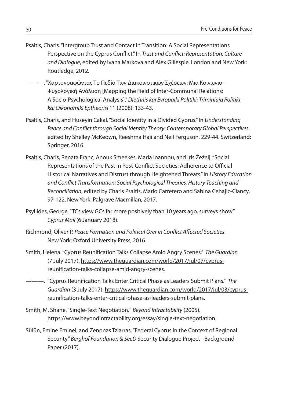- Psaltis, Charis."Intergroup Trust and Contact in Transition: A Social Representations Perspective on the Cyprus Conflict."In *Trust and Conflict: Representation, Culture and Dialogue*, edited by Ivana Markova and Alex Gillespie. London and New York: Routledge, 2012.
	- ———."Χαρτογραφώντας Το Πεδίο Των Διακοινοτικών Σχέσεων: Μια Κοινωνιο-Ψυχολογική Ανάλυση [Mapping the Field of Inter-Communal Relations: A Socio-Psychological Analysis]."*Diethnis kai Evropaiki Politiki: Triminiaia Politiki kai Oikonomiki Eptheorisi* 11 (2008): 133-43.
- Psaltis, Charis, and Huseyin Cakal."Social Identity in a Divided Cyprus."In *Understanding Peace and Conflict through Social Identity Theory: Contemporary Global Perspectives*, edited by Shelley McKeown, Reeshma Haji and Neil Ferguson, 229-44. Switzerland: Springer, 2016.
- Psaltis, Charis, Renata Franc, Anouk Smeekes, Maria Ioannou, and Iris Žeželj."Social Representations of the Past in Post-Conflict Societies: Adherence to Official Historical Narratives and Distrust through Heightened Threats."In *History Education and Conflict Transformation: Social Psychological Theories, History Teaching and Reconciliation*, edited by Charis Psaltis, Mario Carretero and Sabina Cehajic-Clancy, 97-122. New York: Palgrave Macmillan, 2017.
- Psyllides, George."TCs view GCs far more positively than 10 years ago, surveys show." *Cyprus Mail* (6 January 2018).
- Richmond, Oliver P. *Peace Formation and Political Orer in Conflict Affected Societies*. New York: Oxford University Press, 2016.
- Smith, Helena."Cyprus Reunification Talks Collapse Amid Angry Scenes." *The Guardian* (7 July 2017). https://www.theguardian.com/world/2017/jul/07/cyprusreunification-talks-collapse-amid-angry-scenes.
- ———. "Cyprus Reunification Talks Enter Critical Phase as Leaders Submit Plans." *The Guardian* (3 July 2017). https://www.theguardian.com/world/2017/jul/03/cyprusreunification-talks-enter-critical-phase-as-leaders-submit-plans.
- Smith, M. Shane."Single-Text Negotiation." *Beyond Intractability* (2005). https://www.beyondintractability.org/essay/single-text-negotiation.
- Sülün, Emine Eminel, and Zenonas Tziarras."Federal Cyprus in the Context of Regional Security."*Berghof Foundation & SeeD* Security Dialogue Project - Background Paper (2017).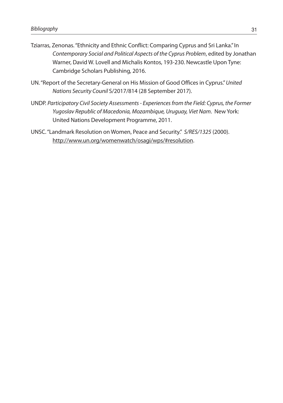- Tziarras, Zenonas."Ethnicity and Ethnic Conflict: Comparing Cyprus and Sri Lanka."In *Contemporary Social and Political Aspects of the Cyprus Problem*, edited by Jonathan Warner, David W. Lovell and Michalis Kontos, 193-230. Newcastle Upon Tyne: Cambridge Scholars Publishing, 2016.
- UN."Report of the Secretary-General on His Mission of Good Offices in Cyprus."*United Nations Security Counil* S/2017/814 (28 September 2017).
- UNDP. *Participatory Civil Society Assessments- Experiencesfrom the Field: Cyprus, the Former Yugoslav Republic of Macedonia, Mozambique, Uruguay, Viet Nam*. New York: United Nations Development Programme, 2011.
- UNSC."Landmark Resolution on Women, Peace and Security." *S/RES/1325* (2000). http://www.un.org/womenwatch/osagi/wps/#resolution.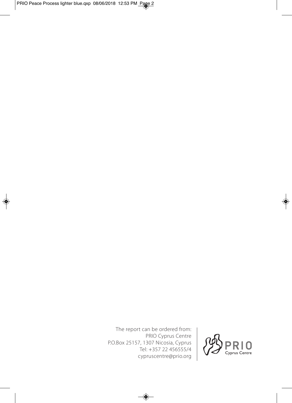The report can be ordered from: PRIO Cyprus Centre P.O.Box 25157, 1307 Nicosia, Cyprus Tel: +357 22 456555/4 cypruscentre@prio.org